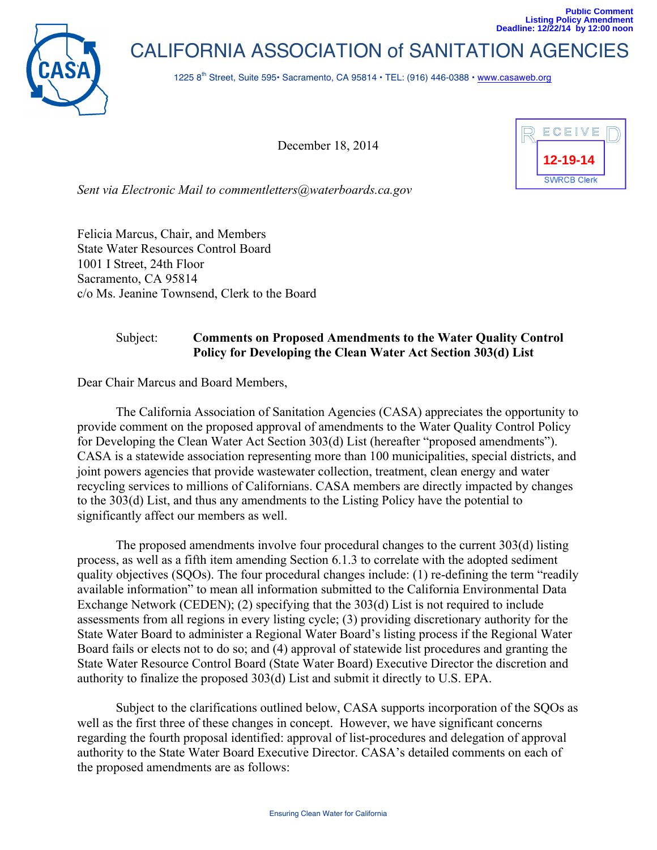

CALIFORNIA ASSOCIATION of SANITATION AGENCIES

1225 8<sup>th</sup> Street, Suite 595• Sacramento, CA 95814 • TEL: (916) 446-0388 • www.casaweb.org

December 18, 2014



*Sent via Electronic Mail to commentletters@waterboards.ca.gov*

Felicia Marcus, Chair, and Members State Water Resources Control Board 1001 I Street, 24th Floor Sacramento, CA 95814 c/o Ms. Jeanine Townsend, Clerk to the Board

# Subject: **Comments on Proposed Amendments to the Water Quality Control Policy for Developing the Clean Water Act Section 303(d) List**

Dear Chair Marcus and Board Members,

The California Association of Sanitation Agencies (CASA) appreciates the opportunity to provide comment on the proposed approval of amendments to the Water Quality Control Policy for Developing the Clean Water Act Section 303(d) List (hereafter "proposed amendments"). CASA is a statewide association representing more than 100 municipalities, special districts, and joint powers agencies that provide wastewater collection, treatment, clean energy and water recycling services to millions of Californians. CASA members are directly impacted by changes to the 303(d) List, and thus any amendments to the Listing Policy have the potential to significantly affect our members as well.

The proposed amendments involve four procedural changes to the current 303(d) listing process, as well as a fifth item amending Section 6.1.3 to correlate with the adopted sediment quality objectives (SQOs). The four procedural changes include: (1) re-defining the term "readily available information" to mean all information submitted to the California Environmental Data Exchange Network (CEDEN); (2) specifying that the 303(d) List is not required to include assessments from all regions in every listing cycle; (3) providing discretionary authority for the State Water Board to administer a Regional Water Board's listing process if the Regional Water Board fails or elects not to do so; and (4) approval of statewide list procedures and granting the State Water Resource Control Board (State Water Board) Executive Director the discretion and authority to finalize the proposed 303(d) List and submit it directly to U.S. EPA.

Subject to the clarifications outlined below, CASA supports incorporation of the SQOs as well as the first three of these changes in concept. However, we have significant concerns regarding the fourth proposal identified: approval of list-procedures and delegation of approval authority to the State Water Board Executive Director. CASA's detailed comments on each of the proposed amendments are as follows: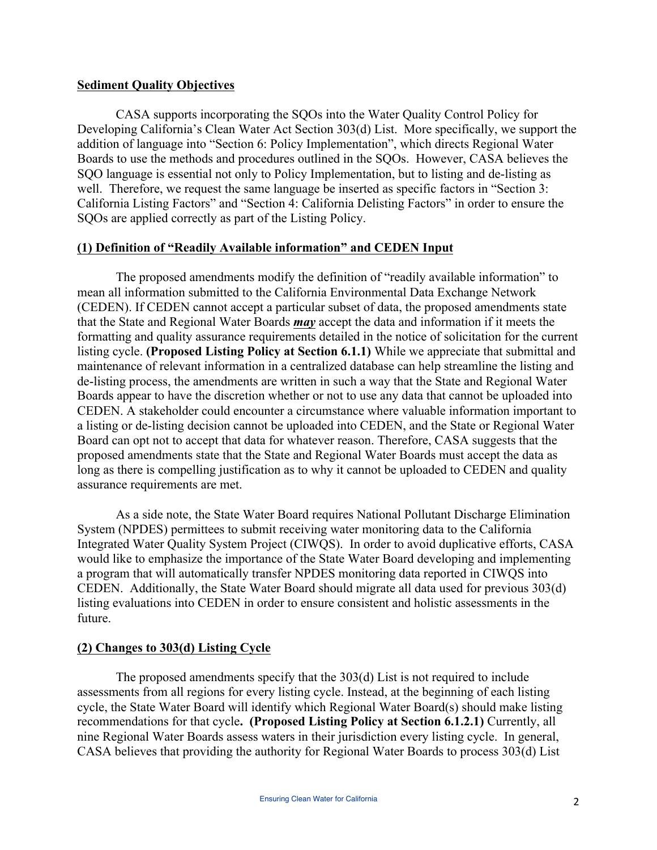## **Sediment Quality Objectives**

CASA supports incorporating the SQOs into the Water Quality Control Policy for Developing California's Clean Water Act Section 303(d) List. More specifically, we support the addition of language into "Section 6: Policy Implementation", which directs Regional Water Boards to use the methods and procedures outlined in the SQOs. However, CASA believes the SQO language is essential not only to Policy Implementation, but to listing and de-listing as well. Therefore, we request the same language be inserted as specific factors in "Section 3: California Listing Factors" and "Section 4: California Delisting Factors" in order to ensure the SQOs are applied correctly as part of the Listing Policy.

# **(1) Definition of "Readily Available information" and CEDEN Input**

The proposed amendments modify the definition of "readily available information" to mean all information submitted to the California Environmental Data Exchange Network (CEDEN). If CEDEN cannot accept a particular subset of data, the proposed amendments state that the State and Regional Water Boards *may* accept the data and information if it meets the formatting and quality assurance requirements detailed in the notice of solicitation for the current listing cycle. **(Proposed Listing Policy at Section 6.1.1)** While we appreciate that submittal and maintenance of relevant information in a centralized database can help streamline the listing and de-listing process, the amendments are written in such a way that the State and Regional Water Boards appear to have the discretion whether or not to use any data that cannot be uploaded into CEDEN. A stakeholder could encounter a circumstance where valuable information important to a listing or de-listing decision cannot be uploaded into CEDEN, and the State or Regional Water Board can opt not to accept that data for whatever reason. Therefore, CASA suggests that the proposed amendments state that the State and Regional Water Boards must accept the data as long as there is compelling justification as to why it cannot be uploaded to CEDEN and quality assurance requirements are met.

As a side note, the State Water Board requires National Pollutant Discharge Elimination System (NPDES) permittees to submit receiving water monitoring data to the California Integrated Water Quality System Project (CIWQS). In order to avoid duplicative efforts, CASA would like to emphasize the importance of the State Water Board developing and implementing a program that will automatically transfer NPDES monitoring data reported in CIWQS into CEDEN. Additionally, the State Water Board should migrate all data used for previous 303(d) listing evaluations into CEDEN in order to ensure consistent and holistic assessments in the future.

## **(2) Changes to 303(d) Listing Cycle**

The proposed amendments specify that the 303(d) List is not required to include assessments from all regions for every listing cycle. Instead, at the beginning of each listing cycle, the State Water Board will identify which Regional Water Board(s) should make listing recommendations for that cycle**. (Proposed Listing Policy at Section 6.1.2.1)** Currently, all nine Regional Water Boards assess waters in their jurisdiction every listing cycle. In general, CASA believes that providing the authority for Regional Water Boards to process 303(d) List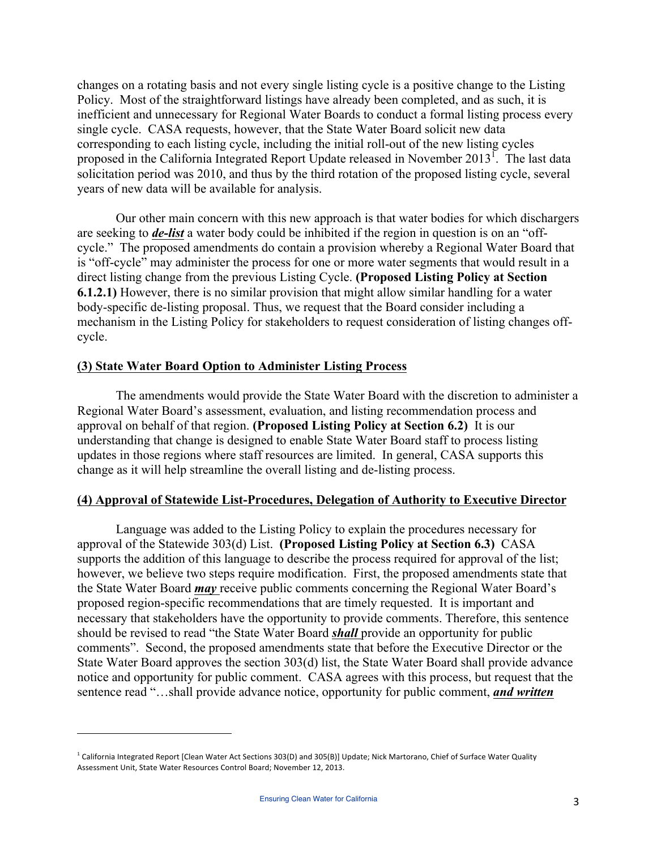changes on a rotating basis and not every single listing cycle is a positive change to the Listing Policy. Most of the straightforward listings have already been completed, and as such, it is inefficient and unnecessary for Regional Water Boards to conduct a formal listing process every single cycle. CASA requests, however, that the State Water Board solicit new data corresponding to each listing cycle, including the initial roll-out of the new listing cycles proposed in the California Integrated Report Update released in November 2013<sup>1</sup>. The last data solicitation period was 2010, and thus by the third rotation of the proposed listing cycle, several years of new data will be available for analysis.

Our other main concern with this new approach is that water bodies for which dischargers are seeking to *de-list* a water body could be inhibited if the region in question is on an "offcycle." The proposed amendments do contain a provision whereby a Regional Water Board that is "off-cycle" may administer the process for one or more water segments that would result in a direct listing change from the previous Listing Cycle. **(Proposed Listing Policy at Section 6.1.2.1)** However, there is no similar provision that might allow similar handling for a water body-specific de-listing proposal. Thus, we request that the Board consider including a mechanism in the Listing Policy for stakeholders to request consideration of listing changes offcycle.

#### **(3) State Water Board Option to Administer Listing Process**

The amendments would provide the State Water Board with the discretion to administer a Regional Water Board's assessment, evaluation, and listing recommendation process and approval on behalf of that region. **(Proposed Listing Policy at Section 6.2)** It is our understanding that change is designed to enable State Water Board staff to process listing updates in those regions where staff resources are limited. In general, CASA supports this change as it will help streamline the overall listing and de-listing process.

#### **(4) Approval of Statewide List-Procedures, Delegation of Authority to Executive Director**

Language was added to the Listing Policy to explain the procedures necessary for approval of the Statewide 303(d) List. **(Proposed Listing Policy at Section 6.3)** CASA supports the addition of this language to describe the process required for approval of the list; however, we believe two steps require modification. First, the proposed amendments state that the State Water Board *may* receive public comments concerning the Regional Water Board's proposed region-specific recommendations that are timely requested. It is important and necessary that stakeholders have the opportunity to provide comments. Therefore, this sentence should be revised to read "the State Water Board *shall* provide an opportunity for public comments". Second, the proposed amendments state that before the Executive Director or the State Water Board approves the section 303(d) list, the State Water Board shall provide advance notice and opportunity for public comment. CASA agrees with this process, but request that the sentence read "…shall provide advance notice, opportunity for public comment, *and written* 

 

 $1$  California Integrated Report [Clean Water Act Sections 303(D) and 305(B)] Update; Nick Martorano, Chief of Surface Water Quality Assessment Unit, State Water Resources Control Board; November 12, 2013.